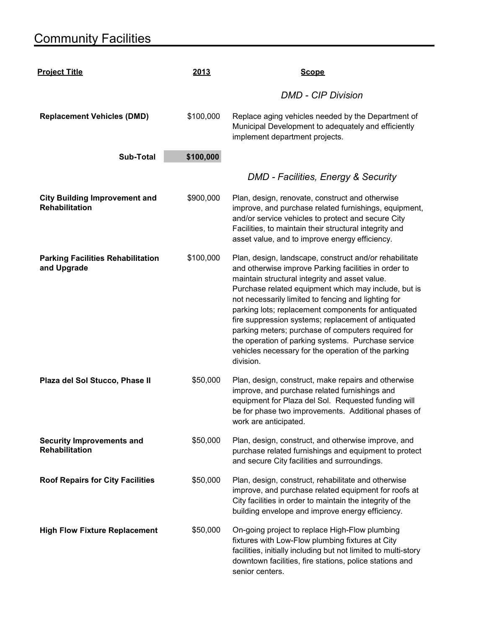## **Community Facilities**

| <b>Project Title</b>                                          | 2013      | <b>Scope</b>                                                                                                                                                                                                                                                                                                                                                                                                                                                                                                                                                                  |
|---------------------------------------------------------------|-----------|-------------------------------------------------------------------------------------------------------------------------------------------------------------------------------------------------------------------------------------------------------------------------------------------------------------------------------------------------------------------------------------------------------------------------------------------------------------------------------------------------------------------------------------------------------------------------------|
|                                                               |           | <b>DMD - CIP Division</b>                                                                                                                                                                                                                                                                                                                                                                                                                                                                                                                                                     |
| <b>Replacement Vehicles (DMD)</b>                             | \$100,000 | Replace aging vehicles needed by the Department of<br>Municipal Development to adequately and efficiently<br>implement department projects.                                                                                                                                                                                                                                                                                                                                                                                                                                   |
| <b>Sub-Total</b>                                              | \$100,000 |                                                                                                                                                                                                                                                                                                                                                                                                                                                                                                                                                                               |
|                                                               |           | DMD - Facilities, Energy & Security                                                                                                                                                                                                                                                                                                                                                                                                                                                                                                                                           |
| <b>City Building Improvement and</b><br><b>Rehabilitation</b> | \$900,000 | Plan, design, renovate, construct and otherwise<br>improve, and purchase related furnishings, equipment,<br>and/or service vehicles to protect and secure City<br>Facilities, to maintain their structural integrity and<br>asset value, and to improve energy efficiency.                                                                                                                                                                                                                                                                                                    |
| <b>Parking Facilities Rehabilitation</b><br>and Upgrade       | \$100,000 | Plan, design, landscape, construct and/or rehabilitate<br>and otherwise improve Parking facilities in order to<br>maintain structural integrity and asset value.<br>Purchase related equipment which may include, but is<br>not necessarily limited to fencing and lighting for<br>parking lots; replacement components for antiquated<br>fire suppression systems; replacement of antiquated<br>parking meters; purchase of computers required for<br>the operation of parking systems. Purchase service<br>vehicles necessary for the operation of the parking<br>division. |
| Plaza del Sol Stucco, Phase II                                | \$50,000  | Plan, design, construct, make repairs and otherwise<br>improve, and purchase related furnishings and<br>equipment for Plaza del Sol. Requested funding will<br>be for phase two improvements. Additional phases of<br>work are anticipated.                                                                                                                                                                                                                                                                                                                                   |
| <b>Security Improvements and</b><br><b>Rehabilitation</b>     | \$50,000  | Plan, design, construct, and otherwise improve, and<br>purchase related furnishings and equipment to protect<br>and secure City facilities and surroundings.                                                                                                                                                                                                                                                                                                                                                                                                                  |
| <b>Roof Repairs for City Facilities</b>                       | \$50,000  | Plan, design, construct, rehabilitate and otherwise<br>improve, and purchase related equipment for roofs at<br>City facilities in order to maintain the integrity of the<br>building envelope and improve energy efficiency.                                                                                                                                                                                                                                                                                                                                                  |
| <b>High Flow Fixture Replacement</b>                          | \$50,000  | On-going project to replace High-Flow plumbing<br>fixtures with Low-Flow plumbing fixtures at City<br>facilities, initially including but not limited to multi-story<br>downtown facilities, fire stations, police stations and<br>senior centers.                                                                                                                                                                                                                                                                                                                            |